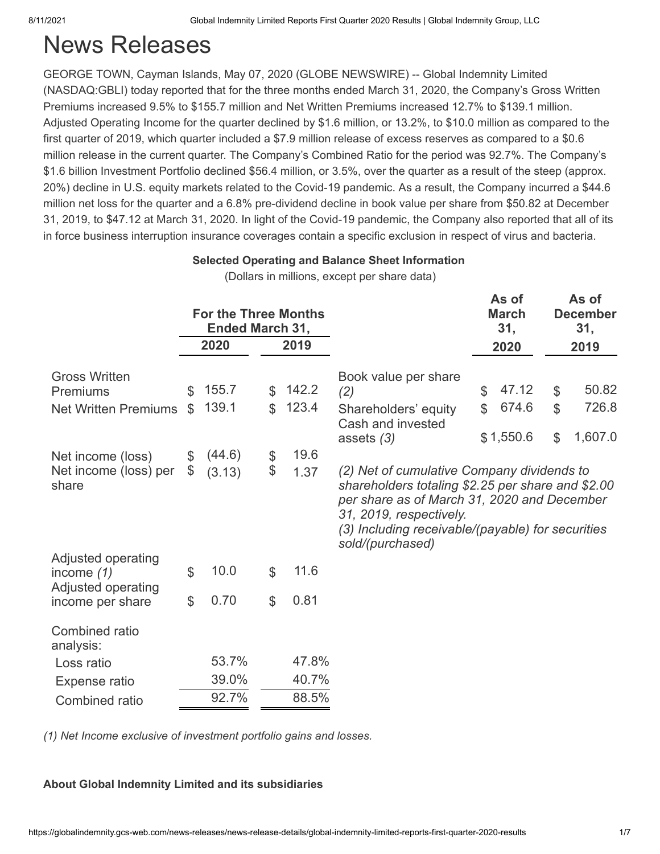# News Releases

GEORGE TOWN, Cayman Islands, May 07, 2020 (GLOBE NEWSWIRE) -- Global Indemnity Limited (NASDAQ:GBLI) today reported that for the three months ended March 31, 2020, the Company's Gross Written Premiums increased 9.5% to \$155.7 million and Net Written Premiums increased 12.7% to \$139.1 million. Adjusted Operating Income for the quarter declined by \$1.6 million, or 13.2%, to \$10.0 million as compared to the first quarter of 2019, which quarter included a \$7.9 million release of excess reserves as compared to a \$0.6 million release in the current quarter. The Company's Combined Ratio for the period was 92.7%. The Company's \$1.6 billion Investment Portfolio declined \$56.4 million, or 3.5%, over the quarter as a result of the steep (approx. 20%) decline in U.S. equity markets related to the Covid-19 pandemic. As a result, the Company incurred a \$44.6 million net loss for the quarter and a 6.8% pre-dividend decline in book value per share from \$50.82 at December 31, 2019, to \$47.12 at March 31, 2020. In light of the Covid-19 pandemic, the Company also reported that all of its in force business interruption insurance coverages contain a specific exclusion in respect of virus and bacteria.

#### **Selected Operating and Balance Sheet Information**

(Dollars in millions, except per share data)

**As of**

**As of**

|                                                                              |                      |                  | <b>For the Three Months</b><br>Ended March 31, |                |                                                                                                                                                                                                                                                    |          | <b>March</b><br>31,         |                                         | rju<br><b>December</b><br>31, |
|------------------------------------------------------------------------------|----------------------|------------------|------------------------------------------------|----------------|----------------------------------------------------------------------------------------------------------------------------------------------------------------------------------------------------------------------------------------------------|----------|-----------------------------|-----------------------------------------|-------------------------------|
|                                                                              |                      | 2020             |                                                | 2019           |                                                                                                                                                                                                                                                    |          | 2020                        |                                         | 2019                          |
| <b>Gross Written</b><br><b>Premiums</b><br><b>Net Written Premiums</b>       | \$<br>\$.            | 155.7<br>139.1   | \$<br>$\mathfrak{L}$                           | 142.2<br>123.4 | Book value per share<br>(2)<br>Shareholders' equity<br>Cash and invested<br>assets $(3)$                                                                                                                                                           | \$<br>\$ | 47.12<br>674.6<br>\$1,550.6 | $\$\$<br>$\mathfrak{P}$<br>$\mathbb{S}$ | 50.82<br>726.8<br>1,607.0     |
| Net income (loss)<br>Net income (loss) per<br>share                          | \$<br>\$             | (44.6)<br>(3.13) | \$<br>\$                                       | 19.6<br>1.37   | (2) Net of cumulative Company dividends to<br>shareholders totaling \$2.25 per share and \$2.00<br>per share as of March 31, 2020 and December<br>31, 2019, respectively.<br>(3) Including receivable/(payable) for securities<br>sold/(purchased) |          |                             |                                         |                               |
| Adjusted operating<br>income $(1)$<br>Adjusted operating<br>income per share | \$<br>$\mathfrak{P}$ | 10.0<br>0.70     | \$<br>\$                                       | 11.6<br>0.81   |                                                                                                                                                                                                                                                    |          |                             |                                         |                               |
| Combined ratio<br>analysis:<br>Loss ratio                                    |                      | 53.7%            |                                                | 47.8%          |                                                                                                                                                                                                                                                    |          |                             |                                         |                               |
| Expense ratio<br>Combined ratio                                              |                      | 39.0%<br>92.7%   |                                                | 40.7%<br>88.5% |                                                                                                                                                                                                                                                    |          |                             |                                         |                               |

*(1) Net Income exclusive of investment portfolio gains and losses.*

#### **About Global Indemnity Limited and its subsidiaries**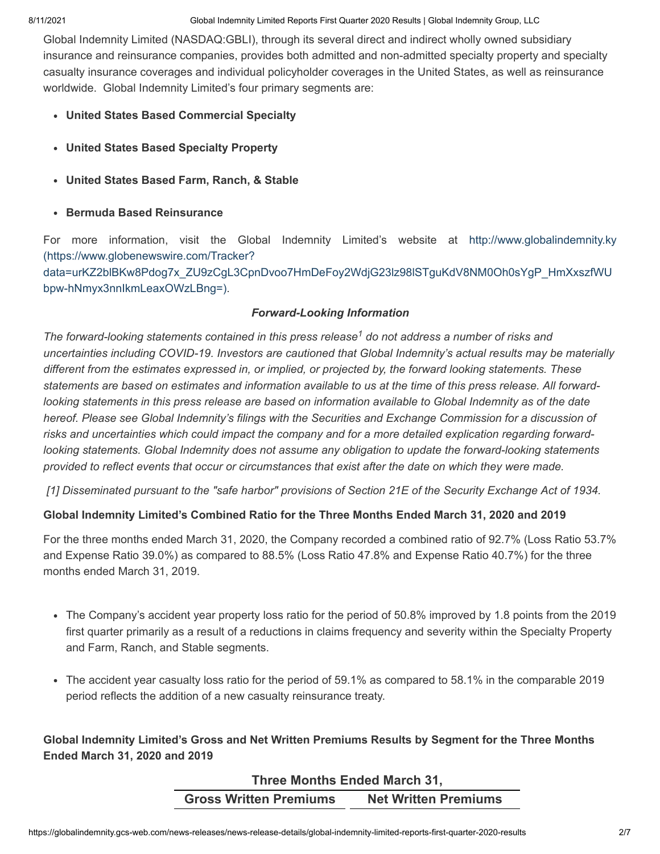Global Indemnity Limited (NASDAQ:GBLI), through its several direct and indirect wholly owned subsidiary insurance and reinsurance companies, provides both admitted and non-admitted specialty property and specialty casualty insurance coverages and individual policyholder coverages in the United States, as well as reinsurance worldwide. Global Indemnity Limited's four primary segments are:

- **United States Based Commercial Specialty**
- **United States Based Specialty Property**
- **United States Based Farm, Ranch, & Stable**
- **Bermuda Based Reinsurance**

For more information, visit the Global Indemnity Limited's website at http://www.globalindemnity.ky (https://www.globenewswire.com/Tracker? [data=urKZ2blBKw8Pdog7x\\_ZU9zCgL3CpnDvoo7HmDeFoy2WdjG23lz98lSTguKdV8NM0Oh0sYgP\\_HmXxszfWU](https://www.globenewswire.com/Tracker?data=urKZ2blBKw8Pdog7x_ZU9zCgL3CpnDvoo7HmDeFoy2WdjG23lz98lSTguKdV8NM0Oh0sYgP_HmXxszfWUbpw-hNmyx3nnIkmLeaxOWzLBng=) bpw-hNmyx3nnIkmLeaxOWzLBng=).

#### *Forward-Looking Information*

The forward-looking statements contained in this press release<sup>1</sup> do not address a number of risks and *uncertainties including COVID-19. Investors are cautioned that Global Indemnity's actual results may be materially different from the estimates expressed in, or implied, or projected by, the forward looking statements. These statements are based on estimates and information available to us at the time of this press release. All forwardlooking statements in this press release are based on information available to Global Indemnity as of the date hereof. Please see Global Indemnity's filings with the Securities and Exchange Commission for a discussion of risks and uncertainties which could impact the company and for a more detailed explication regarding forwardlooking statements. Global Indemnity does not assume any obligation to update the forward-looking statements provided to reflect events that occur or circumstances that exist after the date on which they were made.* 

*[1] Disseminated pursuant to the "safe harbor" provisions of Section 21E of the Security Exchange Act of 1934.*

# **Global Indemnity Limited's Combined Ratio for the Three Months Ended March 31, 2020 and 2019**

For the three months ended March 31, 2020, the Company recorded a combined ratio of 92.7% (Loss Ratio 53.7% and Expense Ratio 39.0%) as compared to 88.5% (Loss Ratio 47.8% and Expense Ratio 40.7%) for the three months ended March 31, 2019.

- The Company's accident year property loss ratio for the period of 50.8% improved by 1.8 points from the 2019 first quarter primarily as a result of a reductions in claims frequency and severity within the Specialty Property and Farm, Ranch, and Stable segments.
- The accident year casualty loss ratio for the period of 59.1% as compared to 58.1% in the comparable 2019 period reflects the addition of a new casualty reinsurance treaty.

**Global Indemnity Limited's Gross and Net Written Premiums Results by Segment for the Three Months Ended March 31, 2020 and 2019**

#### **Three Months Ended March 31,**

**Gross Written Premiums Net Written Premiums**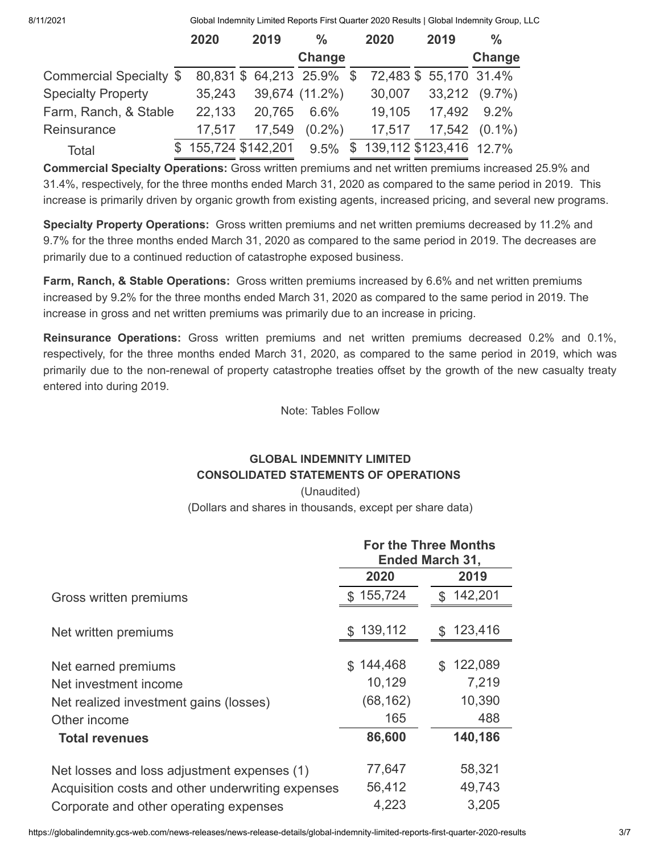|                           | 2019<br>2020        |  | $\frac{0}{0}$<br>2020 |                          |  | 2019                      |  | $\frac{0}{0}$         |           |
|---------------------------|---------------------|--|-----------------------|--------------------------|--|---------------------------|--|-----------------------|-----------|
|                           |                     |  |                       | Change                   |  |                           |  |                       | Change    |
| Commercial Specialty \$   |                     |  |                       | 80,831 \$64,213 25.9% \$ |  |                           |  | 72,483 \$55,170 31.4% |           |
| <b>Specialty Property</b> | 35,243              |  |                       | 39,674 (11.2%)           |  | 30,007                    |  | 33,212                | $(9.7\%)$ |
| Farm, Ranch, & Stable     | 22,133              |  | 20,765                | 6.6%                     |  | 19,105                    |  | 17,492                | 9.2%      |
| Reinsurance               | 17,517              |  | 17,549                | $(0.2\%)$                |  | 17,517                    |  | 17,542                | $(0.1\%)$ |
| Total                     | \$155,724 \$142,201 |  |                       | $9.5\%$                  |  | \$139,112 \$123,416 12.7% |  |                       |           |

**Commercial Specialty Operations:** Gross written premiums and net written premiums increased 25.9% and 31.4%, respectively, for the three months ended March 31, 2020 as compared to the same period in 2019. This increase is primarily driven by organic growth from existing agents, increased pricing, and several new programs.

**Specialty Property Operations:** Gross written premiums and net written premiums decreased by 11.2% and 9.7% for the three months ended March 31, 2020 as compared to the same period in 2019. The decreases are primarily due to a continued reduction of catastrophe exposed business.

**Farm, Ranch, & Stable Operations:** Gross written premiums increased by 6.6% and net written premiums increased by 9.2% for the three months ended March 31, 2020 as compared to the same period in 2019. The increase in gross and net written premiums was primarily due to an increase in pricing.

**Reinsurance Operations:** Gross written premiums and net written premiums decreased 0.2% and 0.1%, respectively, for the three months ended March 31, 2020, as compared to the same period in 2019, which was primarily due to the non-renewal of property catastrophe treaties offset by the growth of the new casualty treaty entered into during 2019.

Note: Tables Follow

## **GLOBAL INDEMNITY LIMITED CONSOLIDATED STATEMENTS OF OPERATIONS**

(Unaudited)

(Dollars and shares in thousands, except per share data)

|                                                   | <b>For the Three Months</b><br><b>Ended March 31,</b> |                           |  |  |  |  |
|---------------------------------------------------|-------------------------------------------------------|---------------------------|--|--|--|--|
|                                                   | 2020                                                  | 2019                      |  |  |  |  |
| Gross written premiums                            | \$155,724                                             | 142,201<br>$\mathfrak{L}$ |  |  |  |  |
| Net written premiums                              | \$139,112                                             | \$123,416                 |  |  |  |  |
| Net earned premiums                               | \$144,468                                             | 122,089<br>\$             |  |  |  |  |
| Net investment income                             | 10,129                                                | 7,219                     |  |  |  |  |
| Net realized investment gains (losses)            | (68, 162)                                             | 10,390                    |  |  |  |  |
| Other income                                      | 165                                                   | 488                       |  |  |  |  |
| <b>Total revenues</b>                             | 86,600                                                | 140,186                   |  |  |  |  |
| Net losses and loss adjustment expenses (1)       | 77,647                                                | 58,321                    |  |  |  |  |
| Acquisition costs and other underwriting expenses | 56,412                                                | 49,743                    |  |  |  |  |
| Corporate and other operating expenses            | 4,223                                                 | 3,205                     |  |  |  |  |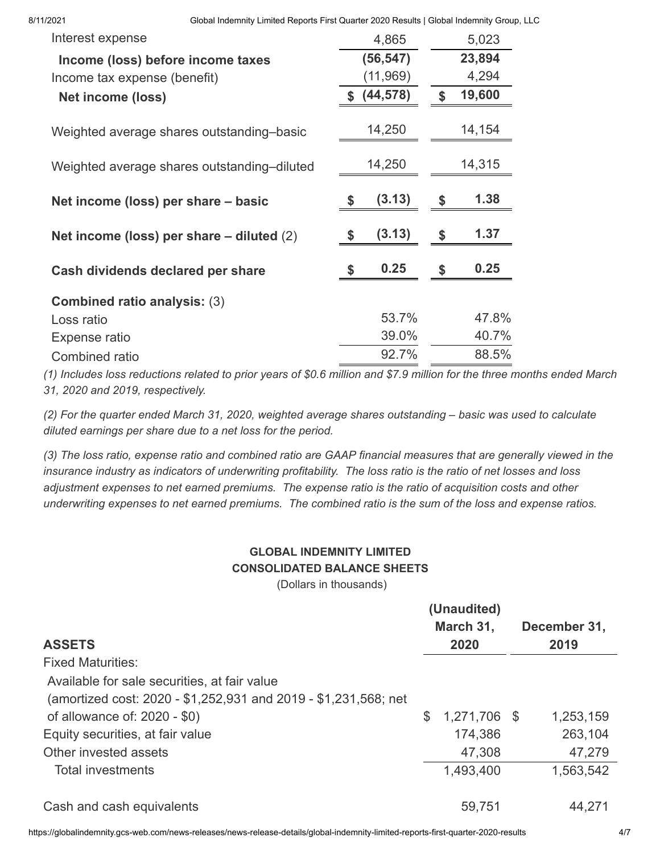| Interest expense                            | 4,865        | 5,023        |  |
|---------------------------------------------|--------------|--------------|--|
| Income (loss) before income taxes           | (56, 547)    | 23,894       |  |
| Income tax expense (benefit)                | (11, 969)    | 4,294        |  |
| <b>Net income (loss)</b>                    | \$ (44,578)  | \$<br>19,600 |  |
| Weighted average shares outstanding-basic   | 14,250       | 14,154       |  |
| Weighted average shares outstanding-diluted | 14,250       | 14,315       |  |
| Net income (loss) per share – basic         | (3.13)<br>\$ | \$<br>1.38   |  |
| Net income (loss) per share $-$ diluted (2) | (3.13)<br>\$ | \$<br>1.37   |  |
| Cash dividends declared per share           | 0.25<br>\$   | \$<br>0.25   |  |
| <b>Combined ratio analysis: (3)</b>         |              |              |  |
| Loss ratio                                  | 53.7%        | 47.8%        |  |
| Expense ratio                               | 39.0%        | 40.7%        |  |
| Combined ratio                              | 92.7%        | 88.5%        |  |

*(1) Includes loss reductions related to prior years of \$0.6 million and \$7.9 million for the three months ended March 31, 2020 and 2019, respectively.*

*(2) For the quarter ended March 31, 2020, weighted average shares outstanding – basic was used to calculate diluted earnings per share due to a net loss for the period.*

*(3) The loss ratio, expense ratio and combined ratio are GAAP financial measures that are generally viewed in the insurance industry as indicators of underwriting profitability. The loss ratio is the ratio of net losses and loss adjustment expenses to net earned premiums. The expense ratio is the ratio of acquisition costs and other underwriting expenses to net earned premiums. The combined ratio is the sum of the loss and expense ratios.*

## **GLOBAL INDEMNITY LIMITED CONSOLIDATED BALANCE SHEETS**

(Dollars in thousands)

| <b>ASSETS</b>                                                   |              | (Unaudited)<br>March 31,<br>2020 | December 31,<br>2019 |           |  |
|-----------------------------------------------------------------|--------------|----------------------------------|----------------------|-----------|--|
| <b>Fixed Maturities:</b>                                        |              |                                  |                      |           |  |
| Available for sale securities, at fair value                    |              |                                  |                      |           |  |
| (amortized cost: 2020 - \$1,252,931 and 2019 - \$1,231,568; net |              |                                  |                      |           |  |
| of allowance of: $2020 - $0)$                                   | $\mathbb{S}$ | 1,271,706 \$                     |                      | 1,253,159 |  |
| Equity securities, at fair value                                |              | 174,386                          |                      | 263,104   |  |
| Other invested assets                                           |              | 47,308                           |                      | 47,279    |  |
| <b>Total investments</b>                                        |              | 1,493,400                        |                      | 1,563,542 |  |
| Cash and cash equivalents                                       |              | 59,751                           |                      | 44,271    |  |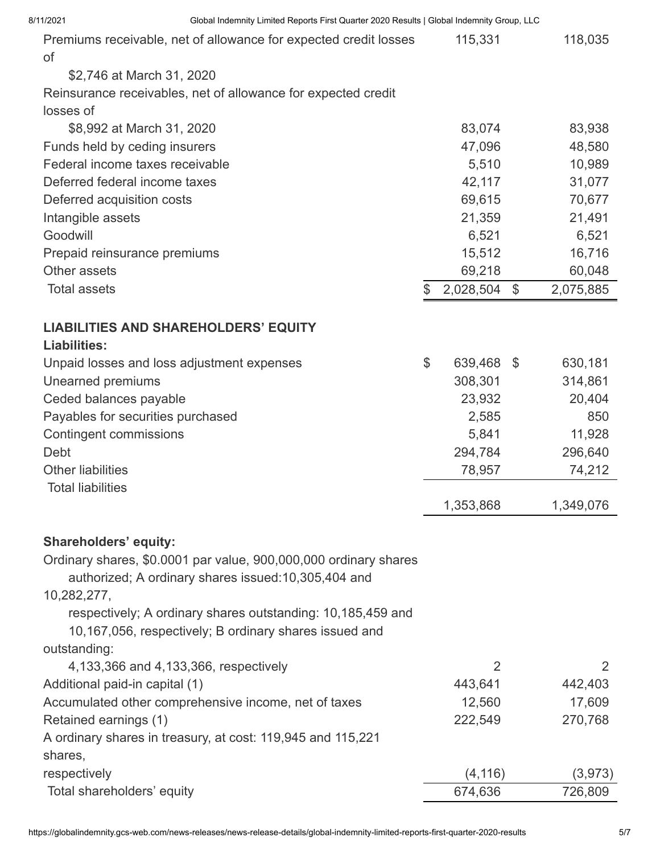| Premiums receivable, net of allowance for expected credit losses | 115,331          |       | 118,035   |
|------------------------------------------------------------------|------------------|-------|-----------|
| of<br>\$2,746 at March 31, 2020                                  |                  |       |           |
| Reinsurance receivables, net of allowance for expected credit    |                  |       |           |
| losses of                                                        |                  |       |           |
| \$8,992 at March 31, 2020                                        | 83,074           |       | 83,938    |
| Funds held by ceding insurers                                    | 47,096           |       | 48,580    |
| Federal income taxes receivable                                  | 5,510            |       | 10,989    |
| Deferred federal income taxes                                    | 42,117           |       | 31,077    |
| Deferred acquisition costs                                       | 69,615           |       | 70,677    |
| Intangible assets                                                | 21,359           |       | 21,491    |
| Goodwill                                                         | 6,521            |       | 6,521     |
| Prepaid reinsurance premiums                                     | 15,512           |       | 16,716    |
| Other assets                                                     | 69,218           |       | 60,048    |
| <b>Total assets</b>                                              | \$<br>2,028,504  | $\$\$ | 2,075,885 |
|                                                                  |                  |       |           |
| <b>LIABILITIES AND SHAREHOLDERS' EQUITY</b>                      |                  |       |           |
| <b>Liabilities:</b>                                              |                  |       |           |
|                                                                  | \$<br>639,468 \$ |       | 630,181   |
| Unpaid losses and loss adjustment expenses<br>Unearned premiums  | 308,301          |       | 314,861   |
| Ceded balances payable                                           | 23,932           |       | 20,404    |
| Payables for securities purchased                                | 2,585            |       | 850       |
| <b>Contingent commissions</b>                                    | 5,841            |       | 11,928    |
| Debt                                                             | 294,784          |       | 296,640   |
| <b>Other liabilities</b>                                         | 78,957           |       | 74,212    |
| <b>Total liabilities</b>                                         |                  |       |           |
|                                                                  | 1,353,868        |       | 1,349,076 |
| <b>Shareholders' equity:</b>                                     |                  |       |           |
| Ordinary shares, \$0.0001 par value, 900,000,000 ordinary shares |                  |       |           |
| authorized; A ordinary shares issued:10,305,404 and              |                  |       |           |
| 10,282,277,                                                      |                  |       |           |
| respectively; A ordinary shares outstanding: 10,185,459 and      |                  |       |           |
| 10,167,056, respectively; B ordinary shares issued and           |                  |       |           |
| outstanding:                                                     |                  |       |           |
| 4,133,366 and 4,133,366, respectively                            | $\overline{2}$   |       | 2         |
| Additional paid-in capital (1)                                   | 443,641          |       | 442,403   |
| Accumulated other comprehensive income, net of taxes             | 12,560           |       | 17,609    |
| Retained earnings (1)                                            | 222,549          |       | 270,768   |
| A ordinary shares in treasury, at cost: 119,945 and 115,221      |                  |       |           |
| shares,                                                          |                  |       |           |
| respectively                                                     | (4, 116)         |       | (3, 973)  |
| Total shareholders' equity                                       | 674,636          |       | 726,809   |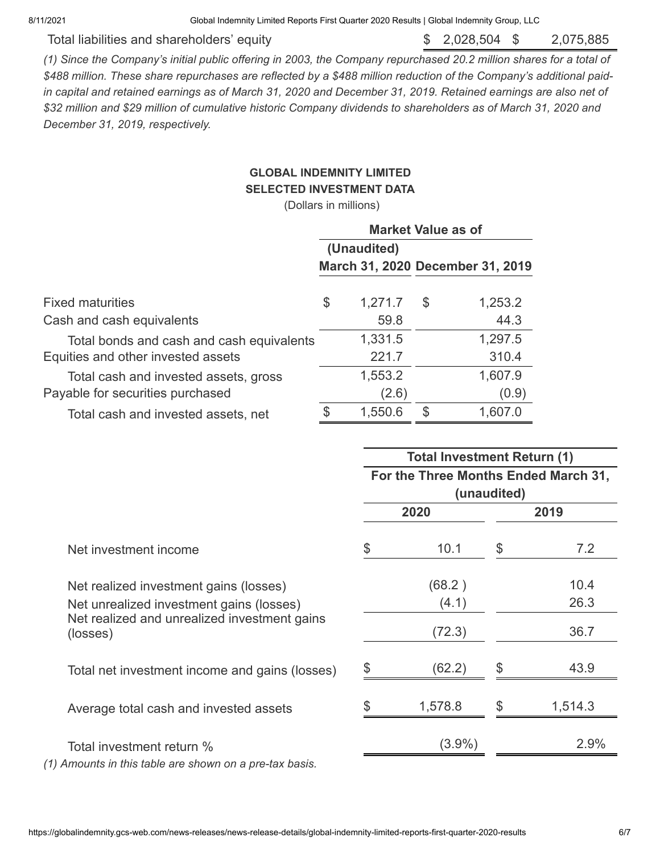Total liabilities and shareholders' equity  $$ 2,028,504 $ 2,075,885$ 

*(1) Since the Company's initial public offering in 2003, the Company repurchased 20.2 million shares for a total of \$488 million. These share repurchases are reflected by a \$488 million reduction of the Company's additional paidin capital and retained earnings as of March 31, 2020 and December 31, 2019. Retained earnings are also net of \$32 million and \$29 million of cumulative historic Company dividends to shareholders as of March 31, 2020 and December 31, 2019, respectively.*

## **GLOBAL INDEMNITY LIMITED SELECTED INVESTMENT DATA**

(Dollars in millions)

|                                           | <b>Market Value as of</b> |         |    |                                  |  |  |  |
|-------------------------------------------|---------------------------|---------|----|----------------------------------|--|--|--|
|                                           | (Unaudited)               |         |    |                                  |  |  |  |
|                                           |                           |         |    | March 31, 2020 December 31, 2019 |  |  |  |
|                                           |                           |         |    |                                  |  |  |  |
| <b>Fixed maturities</b>                   | \$                        | 1,271.7 | \$ | 1,253.2                          |  |  |  |
| Cash and cash equivalents                 |                           | 59.8    |    | 44.3                             |  |  |  |
| Total bonds and cash and cash equivalents |                           | 1,331.5 |    | 1,297.5                          |  |  |  |
| Equities and other invested assets        |                           | 221.7   |    | 310.4                            |  |  |  |
| Total cash and invested assets, gross     |                           | 1,553.2 |    | 1,607.9                          |  |  |  |
| Payable for securities purchased          |                           | (2.6)   |    | (0.9)                            |  |  |  |
| Total cash and invested assets, net       |                           | 1,550.6 | \$ | 1,607.0                          |  |  |  |

|                                                          | <b>Total Investment Return (1)</b> |                                                     |     |         |  |  |  |  |
|----------------------------------------------------------|------------------------------------|-----------------------------------------------------|-----|---------|--|--|--|--|
|                                                          |                                    | For the Three Months Ended March 31,<br>(unaudited) |     |         |  |  |  |  |
|                                                          |                                    | 2020                                                |     | 2019    |  |  |  |  |
| Net investment income                                    | \$                                 | 10.1                                                | \$  | 7.2     |  |  |  |  |
| Net realized investment gains (losses)                   |                                    | (68.2)                                              |     | 10.4    |  |  |  |  |
| Net unrealized investment gains (losses)                 |                                    | (4.1)                                               |     | 26.3    |  |  |  |  |
| Net realized and unrealized investment gains<br>(losses) |                                    | (72.3)                                              |     | 36.7    |  |  |  |  |
| Total net investment income and gains (losses)           |                                    | (62.2)                                              | \$. | 43.9    |  |  |  |  |
| Average total cash and invested assets                   |                                    | 1,578.8                                             | \$  | 1,514.3 |  |  |  |  |
| Total investment return %                                |                                    | $(3.9\%)$                                           |     | 2.9%    |  |  |  |  |
| (1) Amounts in this table are shown on a pre-tax basis.  |                                    |                                                     |     |         |  |  |  |  |